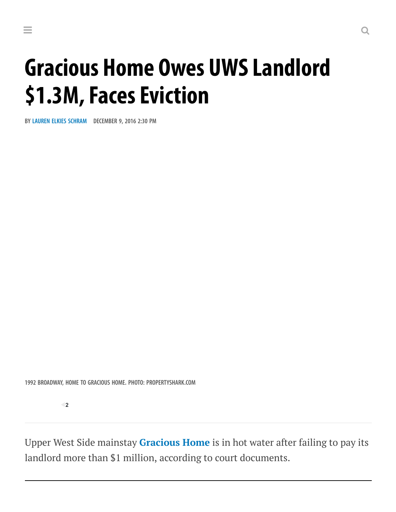# Gracious Home Owes UWSLandlord \$1.3M, Faces Eviction

BY LAUREN ELKIES [SCHRAM](https://commercialobserver.com/author/lauren-elkies-schram/) DECEMBER 9, 2016 2:30 PM

1992 BROADWAY, HOME TO GRACIOUS HOME. PHOTO: PROPERTYSHARK.COM

 $\blacksquare$ 

Upper West Side mainstay [Gracious](https://commercialobserver.com/tag/gracious-home/) Home is in hot water after failing to pay its landlord more than \$1 million, according to court documents.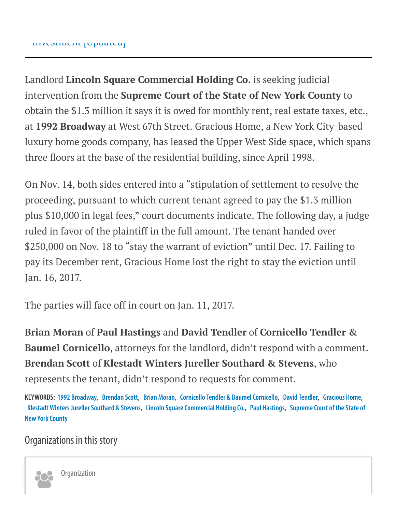Landlord Lincoln Square Commercial Holding Co. is seeking judicial intervention from the Supreme Court of the State of New York County to obtain the \$1.3 million it says it is owed for monthly rent, real estate taxes, etc., at 1992 Broadway at West 67th Street. Gracious Home, a New York City-based luxury home goods company, has leased the Upper West Side space, which spans three floors at the base of the residential building, since April 1998.

On Nov. 14, both sides entered into a "stipulation of settlement to resolve the proceeding, pursuant to which current tenant agreed to pay the \$1.3 million plus \$10,000 in legal fees," court documents indicate. The following day, a judge ruled in favor of the plaintiff in the full amount. The tenant handed over \$250,000 on Nov. 18 to "stay the warrant of eviction" until Dec. 17. Failing to pay its December rent, Gracious Home lost the right to stay the eviction until Jan. 16, 2017.

The parties will face off in court on Jan. 11, 2017.

Brian Moran of Paul Hastings and David Tendler of Cornicello Tendler & Baumel Cornicello, attorneys for the landlord, didn't respond with a comment. Brendan Scott of Klestadt Winters Jureller Southard & Stevens, who represents the tenant, didn't respond to requests for comment.

KEYWORDS: 1992 [Broadway,](https://commercialobserver.com/tag/1992-broadway/) [Brendan](https://commercialobserver.com/tag/brendan-scott/) Scott, Brian [Moran](https://commercialobserver.com/tag/brian-moran/), Cornicello Tendler & [BaumelCornicello,](https://commercialobserver.com/tag/cornicello-tendler-baumel-cornicello/) David [Tendler,](https://commercialobserver.com/tag/david-tendler/) [Gracious](https://commercialobserver.com/tag/gracious-home/) Home, Klestadt Winters Jureller Southard & Stevens, Lincoln Square Commercial Holding Co., Paul [Hastings](https://commercialobserver.com/tag/paul-hastings/), Supreme Court of the State of **New York County** 

#### Organizations in this story